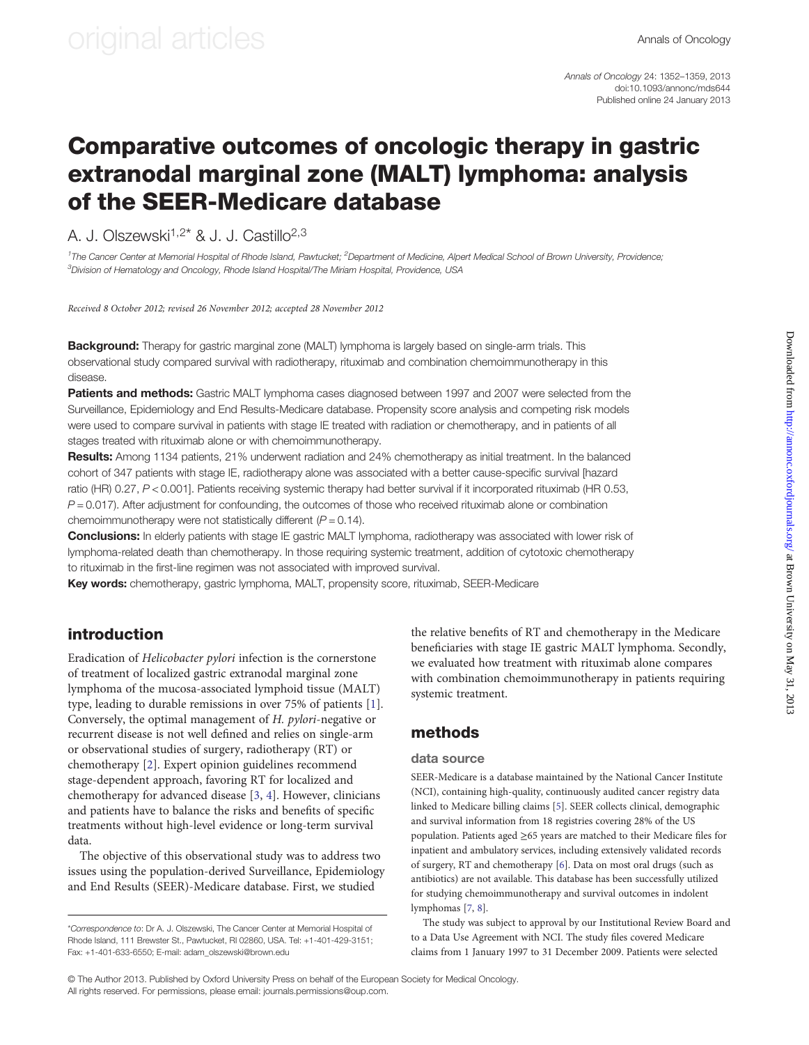Annals of Oncology 24: 1352–1359, 2013 doi:10.1093/annonc/mds644 Published online 24 January 2013

### Comparative outcomes of oncologic therapy in gastric extranodal marginal zone (MALT) lymphoma: analysis of the SEER-Medicare database

A. J. Olszewski<sup>1,2\*</sup> & J. J. Castillo<sup>2,3</sup>

<sup>1</sup>The Cancer Center at Memorial Hospital of Rhode Island, Pawtucket; <sup>2</sup>Department of Medicine, Alpert Medical School of Brown University, Providence;  $^3$ Division of Hematology and Oncology, Rhode Island Hospital/The Miriam Hospital, Providence, USA

Received 8 October 2012; revised 26 November 2012; accepted 28 November 2012

**Background:** Therapy for gastric marginal zone (MALT) lymphoma is largely based on single-arm trials. This observational study compared survival with radiotherapy, rituximab and combination chemoimmunotherapy in this disease.

Patients and methods: Gastric MALT lymphoma cases diagnosed between 1997 and 2007 were selected from the Surveillance, Epidemiology and End Results-Medicare database. Propensity score analysis and competing risk models were used to compare survival in patients with stage IE treated with radiation or chemotherapy, and in patients of all stages treated with rituximab alone or with chemoimmunotherapy.

Results: Among 1134 patients, 21% underwent radiation and 24% chemotherapy as initial treatment. In the balanced cohort of 347 patients with stage IE, radiotherapy alone was associated with a better cause-specific survival [hazard ratio (HR) 0.27, P < 0.001]. Patients receiving systemic therapy had better survival if it incorporated rituximab (HR 0.53,  $P = 0.017$ ). After adjustment for confounding, the outcomes of those who received rituximab alone or combination chemoimmunotherapy were not statistically different  $(P = 0.14)$ .

Conclusions: In elderly patients with stage IE gastric MALT lymphoma, radiotherapy was associated with lower risk of lymphoma-related death than chemotherapy. In those requiring systemic treatment, addition of cytotoxic chemotherapy to rituximab in the first-line regimen was not associated with improved survival.

Key words: chemotherapy, gastric lymphoma, MALT, propensity score, rituximab, SEER-Medicare

### introduction

Eradication of Helicobacter pylori infection is the cornerstone of treatment of localized gastric extranodal marginal zone lymphoma of the mucosa-associated lymphoid tissue (MALT) type, leading to durable remissions in over 75% of patients [\[1\]](#page-6-0). Conversely, the optimal management of H. pylori-negative or recurrent disease is not well defined and relies on single-arm or observational studies of surgery, radiotherapy (RT) or chemotherapy [\[2\]](#page-6-0). Expert opinion guidelines recommend stage-dependent approach, favoring RT for localized and chemotherapy for advanced disease [\[3,](#page-6-0) [4](#page-6-0)]. However, clinicians and patients have to balance the risks and benefits of specific treatments without high-level evidence or long-term survival data.

The objective of this observational study was to address two issues using the population-derived Surveillance, Epidemiology and End Results (SEER)-Medicare database. First, we studied

the relative benefits of RT and chemotherapy in the Medicare beneficiaries with stage IE gastric MALT lymphoma. Secondly, we evaluated how treatment with rituximab alone compares with combination chemoimmunotherapy in patients requiring systemic treatment.

### methods

#### data source

SEER-Medicare is a database maintained by the National Cancer Institute (NCI), containing high-quality, continuously audited cancer registry data linked to Medicare billing claims [\[5\]](#page-6-0). SEER collects clinical, demographic and survival information from 18 registries covering 28% of the US population. Patients aged ≥65 years are matched to their Medicare files for inpatient and ambulatory services, including extensively validated records of surgery, RT and chemotherapy [[6](#page-6-0)]. Data on most oral drugs (such as antibiotics) are not available. This database has been successfully utilized for studying chemoimmunotherapy and survival outcomes in indolent lymphomas [[7](#page-6-0), [8](#page-6-0)].

The study was subject to approval by our Institutional Review Board and to a Data Use Agreement with NCI. The study files covered Medicare claims from 1 January 1997 to 31 December 2009. Patients were selected

© The Author 2013. Published by Oxford University Press on behalf of the European Society for Medical Oncology. All rights reserved. For permissions, please email: journals.permissions@oup.com.

<sup>\*</sup>Correspondence to: Dr A. J. Olszewski, The Cancer Center at Memorial Hospital of Rhode Island, 111 Brewster St., Pawtucket, RI 02860, USA. Tel: +1-401-429-3151; Fax: +1-401-633-6550; E-mail: adam\_olszewski@brown.edu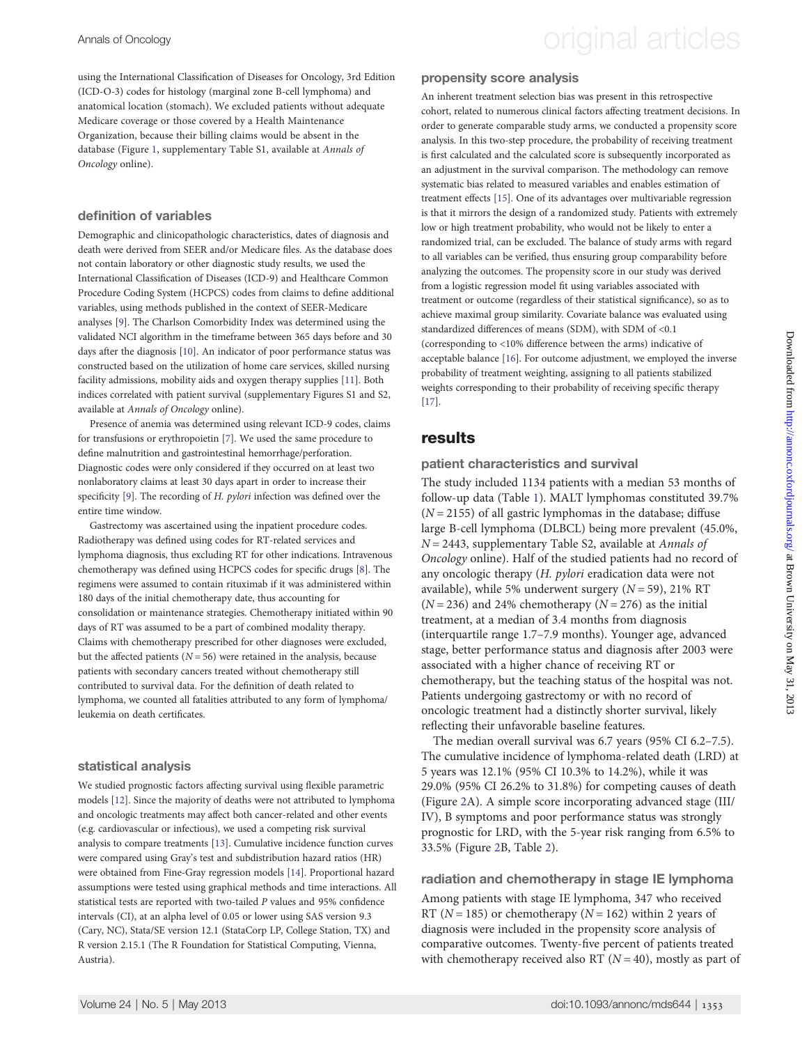Annals of Oncology **Annals of Oncology original articles** 

using the International Classification of Diseases for Oncology, 3rd Edition (ICD-O-3) codes for histology (marginal zone B-cell lymphoma) and anatomical location (stomach). We excluded patients without adequate Medicare coverage or those covered by a Health Maintenance Organization, because their billing claims would be absent in the database (Figure [1,](#page-2-0) [supplementary Table S1, available at](http://annonc.oxfordjournals.org/lookup/suppl/doi:10.1093/annonc/mds644/-/DC1) Annals of [Oncology](http://annonc.oxfordjournals.org/lookup/suppl/doi:10.1093/annonc/mds644/-/DC1) online).

### definition of variables

Demographic and clinicopathologic characteristics, dates of diagnosis and death were derived from SEER and/or Medicare files. As the database does not contain laboratory or other diagnostic study results, we used the International Classification of Diseases (ICD-9) and Healthcare Common Procedure Coding System (HCPCS) codes from claims to define additional variables, using methods published in the context of SEER-Medicare analyses [[9\]](#page-6-0). The Charlson Comorbidity Index was determined using the validated NCI algorithm in the timeframe between 365 days before and 30 days after the diagnosis [\[10](#page-6-0)]. An indicator of poor performance status was constructed based on the utilization of home care services, skilled nursing facility admissions, mobility aids and oxygen therapy supplies [[11\]](#page-6-0). Both indices correlated with patient survival ([supplementary Figures S1 and S2,](http://annonc.oxfordjournals.org/lookup/suppl/doi:10.1093/annonc/mds644/-/DC1) available at [Annals of Oncology](http://annonc.oxfordjournals.org/lookup/suppl/doi:10.1093/annonc/mds644/-/DC1) online).

Presence of anemia was determined using relevant ICD-9 codes, claims for transfusions or erythropoietin [[7\]](#page-6-0). We used the same procedure to define malnutrition and gastrointestinal hemorrhage/perforation. Diagnostic codes were only considered if they occurred on at least two nonlaboratory claims at least 30 days apart in order to increase their specificity [\[9](#page-6-0)]. The recording of H. pylori infection was defined over the entire time window.

Gastrectomy was ascertained using the inpatient procedure codes. Radiotherapy was defined using codes for RT-related services and lymphoma diagnosis, thus excluding RT for other indications. Intravenous chemotherapy was defined using HCPCS codes for specific drugs [\[8](#page-6-0)]. The regimens were assumed to contain rituximab if it was administered within 180 days of the initial chemotherapy date, thus accounting for consolidation or maintenance strategies. Chemotherapy initiated within 90 days of RT was assumed to be a part of combined modality therapy. Claims with chemotherapy prescribed for other diagnoses were excluded, but the affected patients ( $N = 56$ ) were retained in the analysis, because patients with secondary cancers treated without chemotherapy still contributed to survival data. For the definition of death related to lymphoma, we counted all fatalities attributed to any form of lymphoma/ leukemia on death certificates.

### statistical analysis

We studied prognostic factors affecting survival using flexible parametric models [[12](#page-6-0)]. Since the majority of deaths were not attributed to lymphoma and oncologic treatments may affect both cancer-related and other events (e.g. cardiovascular or infectious), we used a competing risk survival analysis to compare treatments [[13](#page-6-0)]. Cumulative incidence function curves were compared using Gray's test and subdistribution hazard ratios (HR) were obtained from Fine-Gray regression models [[14\]](#page-6-0). Proportional hazard assumptions were tested using graphical methods and time interactions. All statistical tests are reported with two-tailed P values and 95% confidence intervals (CI), at an alpha level of 0.05 or lower using SAS version 9.3 (Cary, NC), Stata/SE version 12.1 (StataCorp LP, College Station, TX) and R version 2.15.1 (The R Foundation for Statistical Computing, Vienna, Austria).

### propensity score analysis

An inherent treatment selection bias was present in this retrospective cohort, related to numerous clinical factors affecting treatment decisions. In order to generate comparable study arms, we conducted a propensity score analysis. In this two-step procedure, the probability of receiving treatment is first calculated and the calculated score is subsequently incorporated as an adjustment in the survival comparison. The methodology can remove systematic bias related to measured variables and enables estimation of treatment effects [\[15](#page-6-0)]. One of its advantages over multivariable regression is that it mirrors the design of a randomized study. Patients with extremely low or high treatment probability, who would not be likely to enter a randomized trial, can be excluded. The balance of study arms with regard to all variables can be verified, thus ensuring group comparability before analyzing the outcomes. The propensity score in our study was derived from a logistic regression model fit using variables associated with treatment or outcome (regardless of their statistical significance), so as to achieve maximal group similarity. Covariate balance was evaluated using standardized differences of means (SDM), with SDM of <0.1 (corresponding to <10% difference between the arms) indicative of acceptable balance [[16](#page-6-0)]. For outcome adjustment, we employed the inverse probability of treatment weighting, assigning to all patients stabilized weights corresponding to their probability of receiving specific therapy [[17](#page-6-0)].

### results

patient characteristics and survival

The study included 1134 patients with a median 53 months of follow-up data (Table [1](#page-3-0)). MALT lymphomas constituted 39.7%  $(N = 2155)$  of all gastric lymphomas in the database; diffuse large B-cell lymphoma (DLBCL) being more prevalent (45.0%,  $N = 2443$ , [supplementary Table S2, available at](http://annonc.oxfordjournals.org/lookup/suppl/doi:10.1093/annonc/mds644/-/DC1) Annals of [Oncology](http://annonc.oxfordjournals.org/lookup/suppl/doi:10.1093/annonc/mds644/-/DC1) online). Half of the studied patients had no record of any oncologic therapy (H. pylori eradication data were not available), while 5% underwent surgery  $(N = 59)$ , 21% RT  $(N = 236)$  and 24% chemotherapy  $(N = 276)$  as the initial treatment, at a median of 3.4 months from diagnosis (interquartile range 1.7–7.9 months). Younger age, advanced stage, better performance status and diagnosis after 2003 were associated with a higher chance of receiving RT or chemotherapy, but the teaching status of the hospital was not. Patients undergoing gastrectomy or with no record of oncologic treatment had a distinctly shorter survival, likely reflecting their unfavorable baseline features.

The median overall survival was 6.7 years (95% CI 6.2–7.5). The cumulative incidence of lymphoma-related death (LRD) at 5 years was 12.1% (95% CI 10.3% to 14.2%), while it was 29.0% (95% CI 26.2% to 31.8%) for competing causes of death (Figure [2](#page-3-0)A). A simple score incorporating advanced stage (III/ IV), B symptoms and poor performance status was strongly prognostic for LRD, with the 5-year risk ranging from 6.5% to 33.5% (Figure [2](#page-3-0)B, Table [2](#page-4-0)).

### radiation and chemotherapy in stage IE lymphoma

Among patients with stage IE lymphoma, 347 who received RT ( $N = 185$ ) or chemotherapy ( $N = 162$ ) within 2 years of diagnosis were included in the propensity score analysis of comparative outcomes. Twenty-five percent of patients treated with chemotherapy received also RT ( $N = 40$ ), mostly as part of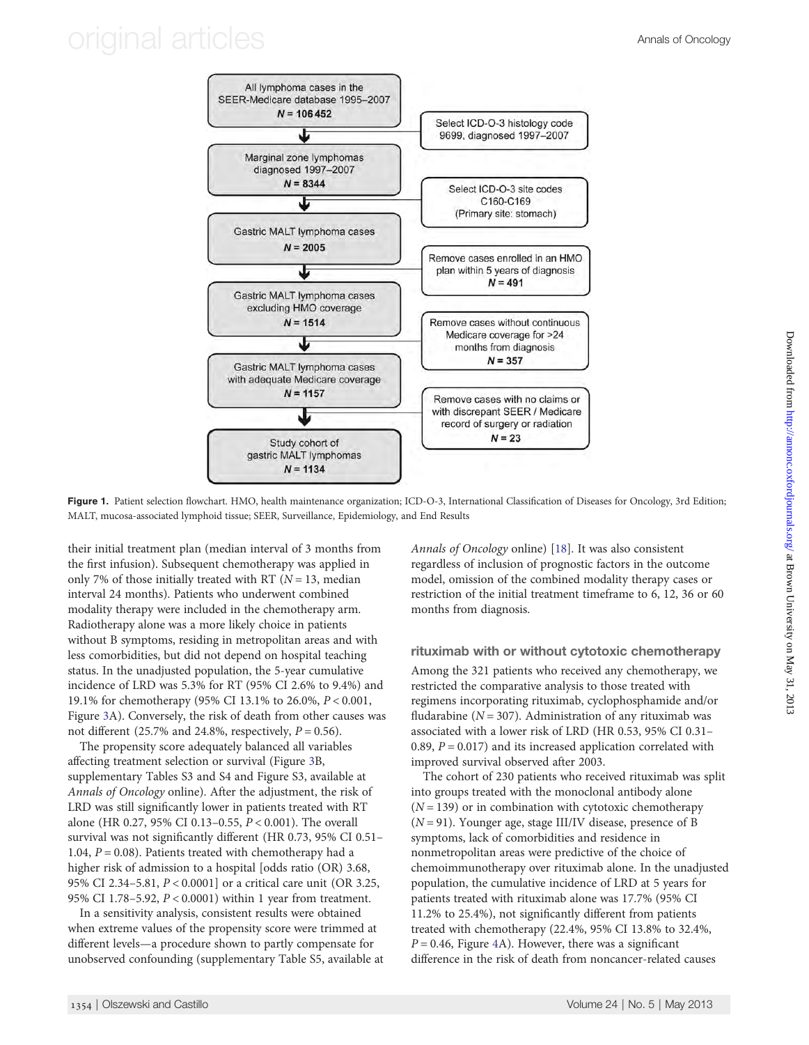## <span id="page-2-0"></span>original articles **Annals of Oncology**



Figure 1. Patient selection flowchart. HMO, health maintenance organization; ICD-O-3, International Classification of Diseases for Oncology, 3rd Edition; MALT, mucosa-associated lymphoid tissue; SEER, Surveillance, Epidemiology, and End Results

their initial treatment plan (median interval of 3 months from the first infusion). Subsequent chemotherapy was applied in only 7% of those initially treated with RT ( $N = 13$ , median interval 24 months). Patients who underwent combined modality therapy were included in the chemotherapy arm. Radiotherapy alone was a more likely choice in patients without B symptoms, residing in metropolitan areas and with less comorbidities, but did not depend on hospital teaching status. In the unadjusted population, the 5-year cumulative incidence of LRD was 5.3% for RT (95% CI 2.6% to 9.4%) and 19.1% for chemotherapy (95% CI 13.1% to 26.0%, P < 0.001, Figure [3](#page-4-0)A). Conversely, the risk of death from other causes was not different (25.7% and 24.8%, respectively,  $P = 0.56$ ).

The propensity score adequately balanced all variables affecting treatment selection or survival (Figure [3](#page-4-0)B, [supplementary Tables S3 and S4 and Figure S3, available at](http://annonc.oxfordjournals.org/lookup/suppl/doi:10.1093/annonc/mds644/-/DC1) [Annals of Oncology](http://annonc.oxfordjournals.org/lookup/suppl/doi:10.1093/annonc/mds644/-/DC1) online). After the adjustment, the risk of LRD was still significantly lower in patients treated with RT alone (HR 0.27, 95% CI 0.13–0.55, P < 0.001). The overall survival was not significantly different (HR 0.73, 95% CI 0.51– 1.04,  $P = 0.08$ ). Patients treated with chemotherapy had a higher risk of admission to a hospital [odds ratio (OR) 3.68, 95% CI 2.34–5.81, P < 0.0001] or a critical care unit (OR 3.25, 95% CI 1.78–5.92, P < 0.0001) within 1 year from treatment.

In a sensitivity analysis, consistent results were obtained when extreme values of the propensity score were trimmed at different levels—a procedure shown to partly compensate for unobserved confounding ([supplementary Table S5, available at](http://annonc.oxfordjournals.org/lookup/suppl/doi:10.1093/annonc/mds644/-/DC1) [Annals of Oncology](http://annonc.oxfordjournals.org/lookup/suppl/doi:10.1093/annonc/mds644/-/DC1) online) [\[18](#page-6-0)]. It was also consistent regardless of inclusion of prognostic factors in the outcome model, omission of the combined modality therapy cases or restriction of the initial treatment timeframe to 6, 12, 36 or 60 months from diagnosis.

#### rituximab with or without cytotoxic chemotherapy

Among the 321 patients who received any chemotherapy, we restricted the comparative analysis to those treated with regimens incorporating rituximab, cyclophosphamide and/or fludarabine ( $N = 307$ ). Administration of any rituximab was associated with a lower risk of LRD (HR 0.53, 95% CI 0.31– 0.89,  $P = 0.017$ ) and its increased application correlated with improved survival observed after 2003.

The cohort of 230 patients who received rituximab was split into groups treated with the monoclonal antibody alone  $(N = 139)$  or in combination with cytotoxic chemotherapy  $(N = 91)$ . Younger age, stage III/IV disease, presence of B symptoms, lack of comorbidities and residence in nonmetropolitan areas were predictive of the choice of chemoimmunotherapy over rituximab alone. In the unadjusted population, the cumulative incidence of LRD at 5 years for patients treated with rituximab alone was 17.7% (95% CI 11.2% to 25.4%), not significantly different from patients treated with chemotherapy (22.4%, 95% CI 13.8% to 32.4%,  $P = 0.46$  $P = 0.46$  $P = 0.46$ , Figure 4A). However, there was a significant difference in the risk of death from noncancer-related causes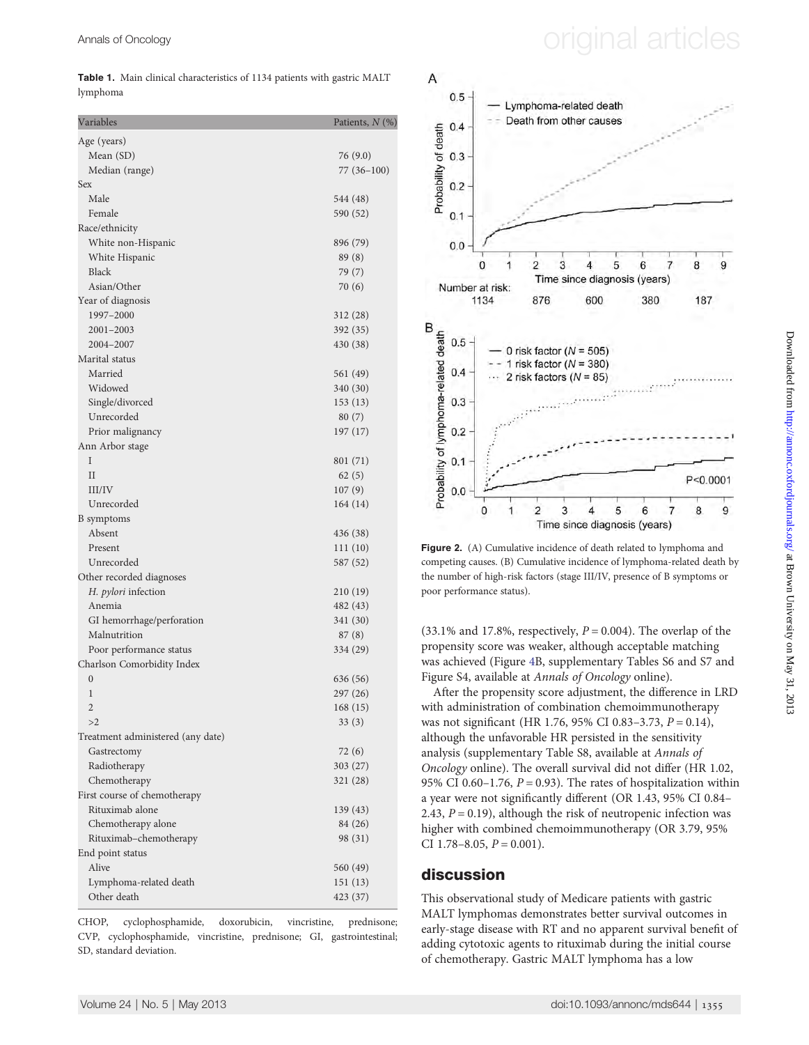Table 1. Main clinical characteristics of 1134 patients with gastric MALT lymphoma

| Variables                                 | Patients, N (%)   |
|-------------------------------------------|-------------------|
| Age (years)                               |                   |
| Mean (SD)                                 | 76 (9.0)          |
| Median (range)                            | 77 (36–100)       |
| Sex                                       |                   |
| Male                                      | 544 (48)          |
| Female                                    | 590 (52)          |
| Race/ethnicity                            |                   |
| White non-Hispanic                        | 896 (79)          |
| White Hispanic                            | 89 (8)            |
| <b>Black</b>                              | 79 (7)            |
| Asian/Other                               | 70 (6)            |
| Year of diagnosis                         |                   |
| 1997-2000                                 | 312 (28)          |
| 2001-2003                                 | 392 (35)          |
| 2004-2007                                 | 430 (38)          |
| Marital status                            |                   |
| Married                                   | 561 (49)          |
| Widowed                                   | 340 (30)          |
| Single/divorced                           | 153(13)           |
| Unrecorded                                | 80 (7)            |
| Prior malignancy                          | 197 (17)          |
| Ann Arbor stage                           |                   |
| I                                         | 801 (71)          |
| $_{\rm II}$                               | 62(5)             |
| III/IV                                    | 107(9)            |
| Unrecorded                                | 164 (14)          |
| B symptoms                                |                   |
| Absent                                    | 436 (38)          |
| Present                                   | 111(10)           |
| Unrecorded                                | 587 (52)          |
| Other recorded diagnoses                  |                   |
| H. <i>pylori</i> infection                | 210 (19)          |
| Anemia                                    | 482 (43)          |
| GI hemorrhage/perforation<br>Malnutrition | 341 (30)          |
| Poor performance status                   | 87(8)<br>334 (29) |
| Charlson Comorbidity Index                |                   |
| $\mathbf{0}$                              | 636 (56)          |
| 1                                         | 297 (26)          |
| $\overline{c}$                            | 168 (15)          |
| >2                                        | 33(3)             |
| Treatment administered (any date)         |                   |
| Gastrectomy                               | 72 (6)            |
| Radiotherapy                              | 303 (27)          |
| Chemotherapy                              | 321 (28)          |
| First course of chemotherapy              |                   |
| Rituximab alone                           | 139 (43)          |
| Chemotherapy alone                        | 84 (26)           |
| Rituximab-chemotherapy                    | 98 (31)           |
| End point status                          |                   |
| Alive                                     | 560 (49)          |
| Lymphoma-related death                    | 151(13)           |
| Other death                               | 423 (37)          |

CHOP, cyclophosphamide, doxorubicin, vincristine, prednisone; CVP, cyclophosphamide, vincristine, prednisone; GI, gastrointestinal; SD, standard deviation.



Figure 2. (A) Cumulative incidence of death related to lymphoma and competing causes. (B) Cumulative incidence of lymphoma-related death by the number of high-risk factors (stage III/IV, presence of B symptoms or poor performance status).

(33.1% and 17.8%, respectively,  $P = 0.004$ ). The overlap of the propensity score was weaker, although acceptable matching was achieved (Figure [4](#page-5-0)B, [supplementary Tables S6 and S7 and](http://annonc.oxfordjournals.org/lookup/suppl/doi:10.1093/annonc/mds644/-/DC1) [Figure S4, available at](http://annonc.oxfordjournals.org/lookup/suppl/doi:10.1093/annonc/mds644/-/DC1) Annals of Oncology online).

After the propensity score adjustment, the difference in LRD with administration of combination chemoimmunotherapy was not significant (HR 1.76, 95% CI 0.83-3.73,  $P = 0.14$ ), although the unfavorable HR persisted in the sensitivity analysis [\(supplementary Table S8, available at](http://annonc.oxfordjournals.org/lookup/suppl/doi:10.1093/annonc/mds644/-/DC1) Annals of [Oncology](http://annonc.oxfordjournals.org/lookup/suppl/doi:10.1093/annonc/mds644/-/DC1) online). The overall survival did not differ (HR 1.02, 95% CI 0.60–1.76,  $P = 0.93$ ). The rates of hospitalization within a year were not significantly different (OR 1.43, 95% CI 0.84– 2.43,  $P = 0.19$ ), although the risk of neutropenic infection was higher with combined chemoimmunotherapy (OR 3.79, 95% CI  $1.78-8.05$ ,  $P = 0.001$ ).

### discussion

This observational study of Medicare patients with gastric MALT lymphomas demonstrates better survival outcomes in early-stage disease with RT and no apparent survival benefit of adding cytotoxic agents to rituximab during the initial course of chemotherapy. Gastric MALT lymphoma has a low

## <span id="page-3-0"></span>Annals of Oncology **Annals of Oncology original articles**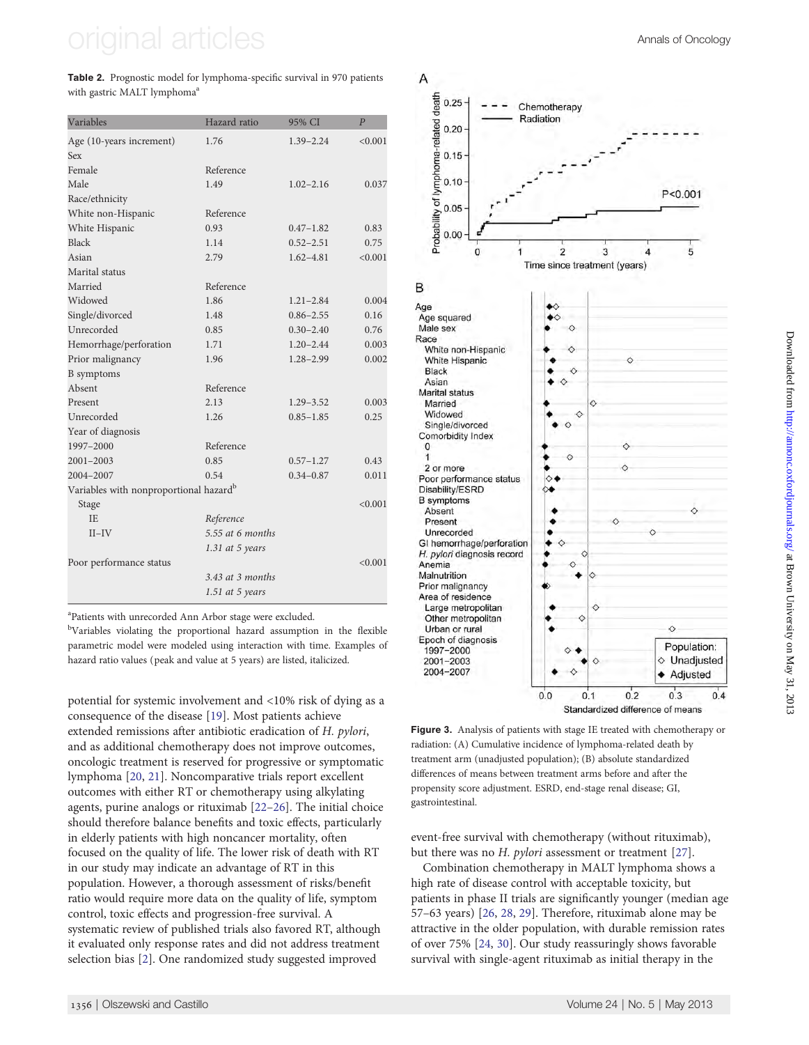# <span id="page-4-0"></span>original articles Annals of Oncology

Table 2. Prognostic model for lymphoma-specific survival in 970 patients with gastric MALT lymphoma<sup>a</sup>

| Variables                                          | Hazard ratio      | 95% CI        | $\overline{P}$ |
|----------------------------------------------------|-------------------|---------------|----------------|
| Age (10-years increment)                           | 1.76              | $1.39 - 2.24$ | < 0.001        |
| Sex                                                |                   |               |                |
| Female                                             | Reference         |               |                |
| Male                                               | 1.49              | $1.02 - 2.16$ | 0.037          |
| Race/ethnicity                                     |                   |               |                |
| White non-Hispanic                                 | Reference         |               |                |
| White Hispanic                                     | 0.93              | $0.47 - 1.82$ | 0.83           |
| <b>Black</b>                                       | 1.14              | $0.52 - 2.51$ | 0.75           |
| Asian                                              | 2.79              | $1.62 - 4.81$ | < 0.001        |
| Marital status                                     |                   |               |                |
| Married                                            | Reference         |               |                |
| Widowed                                            | 1.86              | $1.21 - 2.84$ | 0.004          |
| Single/divorced                                    | 1.48              | $0.86 - 2.55$ | 0.16           |
| Unrecorded                                         | 0.85              | $0.30 - 2.40$ | 0.76           |
| Hemorrhage/perforation                             | 1.71              | $1.20 - 2.44$ | 0.003          |
| Prior malignancy                                   | 1.96              | $1.28 - 2.99$ | 0.002          |
| <b>B</b> symptoms                                  |                   |               |                |
| Absent                                             | Reference         |               |                |
| Present                                            | 2.13              | $1.29 - 3.52$ | 0.003          |
| Unrecorded                                         | 1.26              | $0.85 - 1.85$ | 0.25           |
| Year of diagnosis                                  |                   |               |                |
| 1997-2000                                          | Reference         |               |                |
| $2001 - 2003$                                      | 0.85              | $0.57 - 1.27$ | 0.43           |
| 2004-2007                                          | 0.54              | $0.34 - 0.87$ | 0.011          |
| Variables with nonproportional hazard <sup>b</sup> |                   |               |                |
| Stage                                              |                   |               | < 0.001        |
| IΕ.                                                | Reference         |               |                |
| $II$ -IV                                           | 5.55 at 6 months  |               |                |
|                                                    | $1.31$ at 5 years |               |                |
| Poor performance status                            |                   |               | < 0.001        |
|                                                    | 3.43 at 3 months  |               |                |
|                                                    | $1.51$ at 5 years |               |                |

a Patients with unrecorded Ann Arbor stage were excluded.

<sup>b</sup>Variables violating the proportional hazard assumption in the flexible parametric model were modeled using interaction with time. Examples of hazard ratio values (peak and value at 5 years) are listed, italicized.

potential for systemic involvement and <10% risk of dying as a consequence of the disease [\[19](#page-6-0)]. Most patients achieve extended remissions after antibiotic eradication of H. pylori, and as additional chemotherapy does not improve outcomes, oncologic treatment is reserved for progressive or symptomatic lymphoma [\[20](#page-6-0), [21](#page-6-0)]. Noncomparative trials report excellent outcomes with either RT or chemotherapy using alkylating agents, purine analogs or rituximab [[22](#page-6-0)–[26\]](#page-6-0). The initial choice should therefore balance benefits and toxic effects, particularly in elderly patients with high noncancer mortality, often focused on the quality of life. The lower risk of death with RT in our study may indicate an advantage of RT in this population. However, a thorough assessment of risks/benefit ratio would require more data on the quality of life, symptom control, toxic effects and progression-free survival. A systematic review of published trials also favored RT, although it evaluated only response rates and did not address treatment selection bias [[2](#page-6-0)]. One randomized study suggested improved





Figure 3. Analysis of patients with stage IE treated with chemotherapy or radiation: (A) Cumulative incidence of lymphoma-related death by treatment arm (unadjusted population); (B) absolute standardized differences of means between treatment arms before and after the propensity score adjustment. ESRD, end-stage renal disease; GI, gastrointestinal.

event-free survival with chemotherapy (without rituximab), but there was no *H. pylori* assessment or treatment [[27\]](#page-6-0).

Combination chemotherapy in MALT lymphoma shows a high rate of disease control with acceptable toxicity, but patients in phase II trials are significantly younger (median age 57–63 years) [\[26,](#page-6-0) [28](#page-6-0), [29](#page-6-0)]. Therefore, rituximab alone may be attractive in the older population, with durable remission rates of over 75% [\[24,](#page-6-0) [30](#page-6-0)]. Our study reassuringly shows favorable survival with single-agent rituximab as initial therapy in the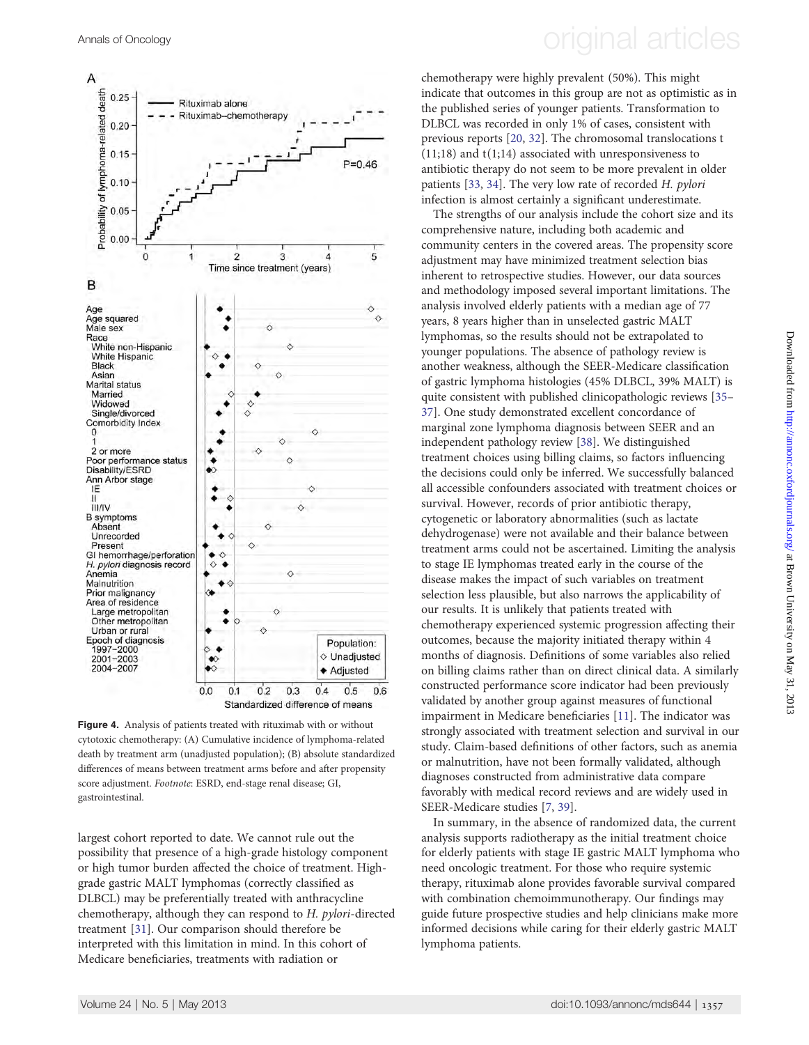

Figure 4. Analysis of patients treated with rituximab with or without cytotoxic chemotherapy: (A) Cumulative incidence of lymphoma-related death by treatment arm (unadjusted population); (B) absolute standardized differences of means between treatment arms before and after propensity score adjustment. Footnote: ESRD, end-stage renal disease; GI, gastrointestinal.

largest cohort reported to date. We cannot rule out the possibility that presence of a high-grade histology component or high tumor burden affected the choice of treatment. Highgrade gastric MALT lymphomas (correctly classified as DLBCL) may be preferentially treated with anthracycline chemotherapy, although they can respond to H. pylori-directed treatment [\[31](#page-6-0)]. Our comparison should therefore be interpreted with this limitation in mind. In this cohort of Medicare beneficiaries, treatments with radiation or

# <span id="page-5-0"></span>Annals of Oncology **Annals of Oncology original articles**

chemotherapy were highly prevalent (50%). This might indicate that outcomes in this group are not as optimistic as in the published series of younger patients. Transformation to DLBCL was recorded in only 1% of cases, consistent with previous reports [[20,](#page-6-0) [32\]](#page-7-0). The chromosomal translocations t (11;18) and t(1;14) associated with unresponsiveness to antibiotic therapy do not seem to be more prevalent in older patients [[33,](#page-7-0) [34\]](#page-7-0). The very low rate of recorded H. pylori infection is almost certainly a significant underestimate.

The strengths of our analysis include the cohort size and its comprehensive nature, including both academic and community centers in the covered areas. The propensity score adjustment may have minimized treatment selection bias inherent to retrospective studies. However, our data sources and methodology imposed several important limitations. The analysis involved elderly patients with a median age of 77 years, 8 years higher than in unselected gastric MALT lymphomas, so the results should not be extrapolated to younger populations. The absence of pathology review is another weakness, although the SEER-Medicare classification of gastric lymphoma histologies (45% DLBCL, 39% MALT) is quite consistent with published clinicopathologic reviews [[35](#page-7-0)– [37](#page-7-0)]. One study demonstrated excellent concordance of marginal zone lymphoma diagnosis between SEER and an independent pathology review [[38\]](#page-7-0). We distinguished treatment choices using billing claims, so factors influencing the decisions could only be inferred. We successfully balanced all accessible confounders associated with treatment choices or survival. However, records of prior antibiotic therapy, cytogenetic or laboratory abnormalities (such as lactate dehydrogenase) were not available and their balance between treatment arms could not be ascertained. Limiting the analysis to stage IE lymphomas treated early in the course of the disease makes the impact of such variables on treatment selection less plausible, but also narrows the applicability of our results. It is unlikely that patients treated with chemotherapy experienced systemic progression affecting their outcomes, because the majority initiated therapy within 4 months of diagnosis. Definitions of some variables also relied on billing claims rather than on direct clinical data. A similarly constructed performance score indicator had been previously validated by another group against measures of functional impairment in Medicare beneficiaries [[11\]](#page-6-0). The indicator was strongly associated with treatment selection and survival in our study. Claim-based definitions of other factors, such as anemia or malnutrition, have not been formally validated, although diagnoses constructed from administrative data compare favorably with medical record reviews and are widely used in SEER-Medicare studies [\[7,](#page-6-0) [39\]](#page-7-0).

In summary, in the absence of randomized data, the current analysis supports radiotherapy as the initial treatment choice for elderly patients with stage IE gastric MALT lymphoma who need oncologic treatment. For those who require systemic therapy, rituximab alone provides favorable survival compared with combination chemoimmunotherapy. Our findings may guide future prospective studies and help clinicians make more informed decisions while caring for their elderly gastric MALT lymphoma patients.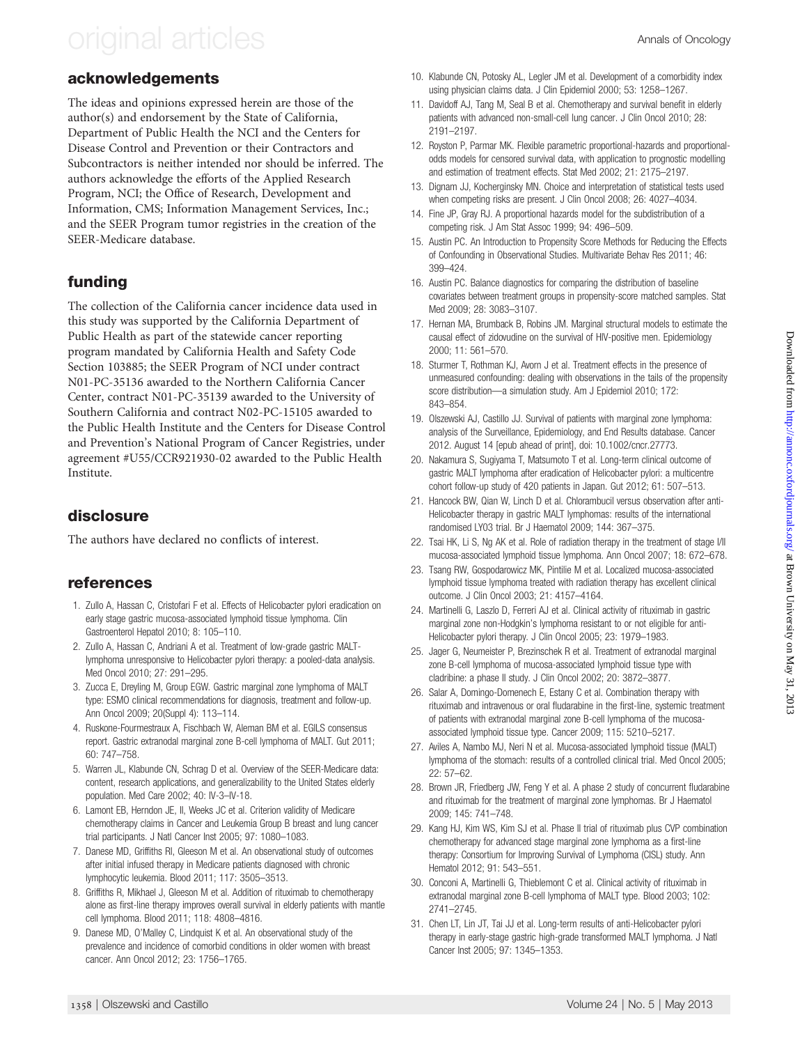# <span id="page-6-0"></span>original articles Annals of Oncology

### acknowledgements

The ideas and opinions expressed herein are those of the author(s) and endorsement by the State of California, Department of Public Health the NCI and the Centers for Disease Control and Prevention or their Contractors and Subcontractors is neither intended nor should be inferred. The authors acknowledge the efforts of the Applied Research Program, NCI; the Office of Research, Development and Information, CMS; Information Management Services, Inc.; and the SEER Program tumor registries in the creation of the SEER-Medicare database.

### funding

The collection of the California cancer incidence data used in this study was supported by the California Department of Public Health as part of the statewide cancer reporting program mandated by California Health and Safety Code Section 103885; the SEER Program of NCI under contract N01-PC-35136 awarded to the Northern California Cancer Center, contract N01-PC-35139 awarded to the University of Southern California and contract N02-PC-15105 awarded to the Public Health Institute and the Centers for Disease Control and Prevention's National Program of Cancer Registries, under agreement #U55/CCR921930-02 awarded to the Public Health Institute.

### disclosure

The authors have declared no conflicts of interest.

### references

- 1. Zullo A, Hassan C, Cristofari F et al. Effects of Helicobacter pylori eradication on early stage gastric mucosa-associated lymphoid tissue lymphoma. Clin Gastroenterol Hepatol 2010; 8: 105–110.
- 2. Zullo A, Hassan C, Andriani A et al. Treatment of low-grade gastric MALTlymphoma unresponsive to Helicobacter pylori therapy: a pooled-data analysis. Med Oncol 2010; 27: 291–295.
- 3. Zucca E, Dreyling M, Group EGW. Gastric marginal zone lymphoma of MALT type: ESMO clinical recommendations for diagnosis, treatment and follow-up. Ann Oncol 2009; 20(Suppl 4): 113–114.
- 4. Ruskone-Fourmestraux A, Fischbach W, Aleman BM et al. EGILS consensus report. Gastric extranodal marginal zone B-cell lymphoma of MALT. Gut 2011; 60: 747–758.
- 5. Warren JL, Klabunde CN, Schrag D et al. Overview of the SEER-Medicare data: content, research applications, and generalizability to the United States elderly population. Med Care 2002; 40: IV-3–IV-18.
- 6. Lamont EB, Herndon JE, II, Weeks JC et al. Criterion validity of Medicare chemotherapy claims in Cancer and Leukemia Group B breast and lung cancer trial participants. J Natl Cancer Inst 2005; 97: 1080–1083.
- 7. Danese MD, Griffiths RI, Gleeson M et al. An observational study of outcomes after initial infused therapy in Medicare patients diagnosed with chronic lymphocytic leukemia. Blood 2011; 117: 3505–3513.
- 8. Griffiths R, Mikhael J, Gleeson M et al. Addition of rituximab to chemotherapy alone as first-line therapy improves overall survival in elderly patients with mantle cell lymphoma. Blood 2011; 118: 4808–4816.
- 9. Danese MD, O'Malley C, Lindquist K et al. An observational study of the prevalence and incidence of comorbid conditions in older women with breast cancer. Ann Oncol 2012; 23: 1756–1765.
- 10. Klabunde CN, Potosky AL, Legler JM et al. Development of a comorbidity index using physician claims data. J Clin Epidemiol 2000; 53: 1258–1267.
- 11. Davidoff AJ, Tang M, Seal B et al. Chemotherapy and survival benefit in elderly patients with advanced non-small-cell lung cancer. J Clin Oncol 2010; 28: 2191–2197.
- 12. Royston P, Parmar MK. Flexible parametric proportional-hazards and proportionalodds models for censored survival data, with application to prognostic modelling and estimation of treatment effects. Stat Med 2002; 21: 2175–2197.
- 13. Dignam JJ, Kocherginsky MN. Choice and interpretation of statistical tests used when competing risks are present. J Clin Oncol 2008; 26: 4027–4034.
- 14. Fine JP, Gray RJ. A proportional hazards model for the subdistribution of a competing risk. J Am Stat Assoc 1999; 94: 496–509.
- 15. Austin PC. An Introduction to Propensity Score Methods for Reducing the Effects of Confounding in Observational Studies. Multivariate Behav Res 2011; 46: 399–424.
- 16. Austin PC. Balance diagnostics for comparing the distribution of baseline covariates between treatment groups in propensity-score matched samples. Stat Med 2009; 28: 3083–3107.
- 17. Hernan MA, Brumback B, Robins JM. Marginal structural models to estimate the causal effect of zidovudine on the survival of HIV-positive men. Epidemiology 2000; 11: 561–570.
- 18. Sturmer T, Rothman KJ, Avorn J et al. Treatment effects in the presence of unmeasured confounding: dealing with observations in the tails of the propensity score distribution—a simulation study. Am J Epidemiol 2010; 172: 843–854.
- 19. Olszewski AJ, Castillo JJ. Survival of patients with marginal zone lymphoma: analysis of the Surveillance, Epidemiology, and End Results database. Cancer 2012. August 14 [epub ahead of print], doi: 10.1002/cncr.27773.
- 20. Nakamura S, Sugiyama T, Matsumoto T et al. Long-term clinical outcome of gastric MALT lymphoma after eradication of Helicobacter pylori: a multicentre cohort follow-up study of 420 patients in Japan. Gut 2012; 61: 507–513.
- 21. Hancock BW, Qian W, Linch D et al. Chlorambucil versus observation after anti-Helicobacter therapy in gastric MALT lymphomas: results of the international randomised LY03 trial. Br J Haematol 2009; 144: 367–375.
- 22. Tsai HK, Li S, Ng AK et al. Role of radiation therapy in the treatment of stage I/II mucosa-associated lymphoid tissue lymphoma. Ann Oncol 2007; 18: 672–678.
- 23. Tsang RW, Gospodarowicz MK, Pintilie M et al. Localized mucosa-associated lymphoid tissue lymphoma treated with radiation therapy has excellent clinical outcome. J Clin Oncol 2003; 21: 4157–4164.
- 24. Martinelli G, Laszlo D, Ferreri AJ et al. Clinical activity of rituximab in gastric marginal zone non-Hodgkin's lymphoma resistant to or not eligible for anti-Helicobacter pylori therapy. J Clin Oncol 2005; 23: 1979–1983.
- 25. Jager G, Neumeister P, Brezinschek R et al. Treatment of extranodal marginal zone B-cell lymphoma of mucosa-associated lymphoid tissue type with cladribine: a phase II study. J Clin Oncol 2002; 20: 3872–3877.
- 26. Salar A, Domingo-Domenech E, Estany C et al. Combination therapy with rituximab and intravenous or oral fludarabine in the first-line, systemic treatment of patients with extranodal marginal zone B-cell lymphoma of the mucosaassociated lymphoid tissue type. Cancer 2009; 115: 5210–5217.
- 27. Aviles A, Nambo MJ, Neri N et al. Mucosa-associated lymphoid tissue (MALT) lymphoma of the stomach: results of a controlled clinical trial. Med Oncol 2005; 22: 57–62.
- 28. Brown JR, Friedberg JW, Feng Y et al. A phase 2 study of concurrent fludarabine and rituximab for the treatment of marginal zone lymphomas. Br J Haematol 2009; 145: 741–748.
- 29. Kang HJ, Kim WS, Kim SJ et al. Phase II trial of rituximab plus CVP combination chemotherapy for advanced stage marginal zone lymphoma as a first-line therapy: Consortium for Improving Survival of Lymphoma (CISL) study. Ann Hematol 2012; 91: 543–551.
- 30. Conconi A, Martinelli G, Thieblemont C et al. Clinical activity of rituximab in extranodal marginal zone B-cell lymphoma of MALT type. Blood 2003; 102: 2741–2745.
- 31. Chen LT, Lin JT, Tai JJ et al. Long-term results of anti-Helicobacter pylori therapy in early-stage gastric high-grade transformed MALT lymphoma. J Natl Cancer Inst 2005; 97: 1345–1353.